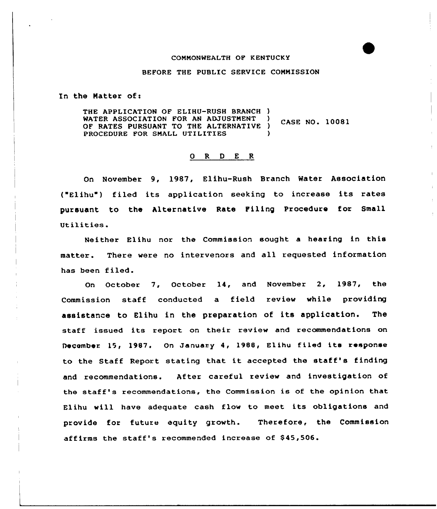#### COMMONWEALTH OF KENTUCKY

### BEFORE THE PUBLIC SERVICE COMMISSION

In the Matter of:

THE APPLICATION OF ELIHU-RUSH BRANCH ) WATER ASSOCIATION FOR AN ADJUSTMENT )<br>OF RATES PURSUANT TO THE ALTERNATIVE ) CASE NO. 10081 OF RATES PURSUANT TO THE ALTERNATIVE PROCEDURE FOR SMALL UTILITIES

# 0 R <sup>D</sup> E R

On November 9, 1987, Elihu-Rush Branch Water Association ("Elihu") filed its application seeking to increase its rates pursuant. to the Alternative Rate Filing Procedure for Small Utilities.

Neither Elihu nor the Commission sought a hearing in this matter. There were no intervenors and all requested information has been filed.

On October 7, October 14, and November 2, 1987, the Commission staff conducted a field review while providing assistance to Elihu in the preparation of its application. The staff issued its report on their review and recommendations on December 15, 1987. On January 4, 1988, Elihu filed its response to the Staff Report stating that it accepted the staff's finding and recommendations. After careful review and investigation of the staff's recommendations, the Commission is of the opinion that Elihu will have adequate cash flow to meet its obligations and provide for future equity growth. Therefore, the Commission affirms the staff's recommended increase of \$45,506.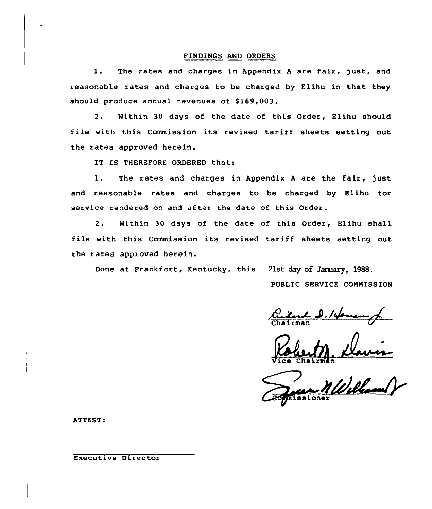### FINDINGS AND ORDERS

1. The rates and charges in Appendix A are fair, just, and reasonable rates and charges to be charged by Elihu in that they should produce annual revenues of \$169,003.

2. Within 30 days of the date of this Order, Elihu should file with this Commission its revised tariff sheets setting out the rates approved herein.

IT IS THEREFORE ORDERED that:

l. The rates and charges in Appendix <sup>A</sup> are the fair, just and reasonable rates and charges to be charged by Elihu for service rendered on and after the date of this Order.

2. Within 30 days of the date of this Order, Elihu shall file with this Commission its revised tariff sheets setting out the rates approved herein.

Done at Frankfort, Kentucky, this 21st day of Jaraary, 1988.

PUBLIC SERVICE CONNISSION

Vice Chairma

ssione

**ATTEST:** 

Executive Director